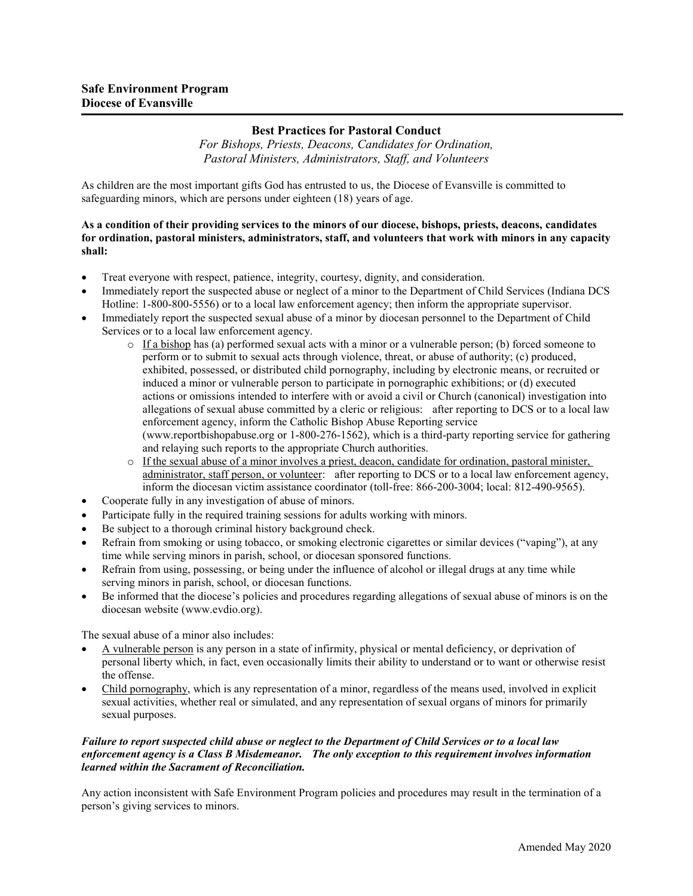## **Best Practices for Pastoral Conduct**

*For Bishops, Priests, Deacons, Candidates for Ordination, Pastoral Ministers, Administrators, Staff, and Volunteers*

As children are the most important gifts God has entrusted to us, the Diocese of Evansville is committed to safeguarding minors, which are persons under eighteen (18) years of age.

## **As a condition of their providing services to the minors of our diocese, bishops, priests, deacons, candidates for ordination, pastoral ministers, administrators, staff, and volunteers that work with minors in any capacity shall:**

- Treat everyone with respect, patience, integrity, courtesy, dignity, and consideration.
- Immediately report the suspected abuse or neglect of a minor to the Department of Child Services (Indiana DCS Hotline: 1-800-800-5556) or to a local law enforcement agency; then inform the appropriate supervisor.
- Immediately report the suspected sexual abuse of a minor by diocesan personnel to the Department of Child Services or to a local law enforcement agency.
	- $\circ$  If a bishop has (a) performed sexual acts with a minor or a vulnerable person; (b) forced someone to perform or to submit to sexual acts through violence, threat, or abuse of authority; (c) produced, exhibited, possessed, or distributed child pornography, including by electronic means, or recruited or induced a minor or vulnerable person to participate in pornographic exhibitions; or (d) executed actions or omissions intended to interfere with or avoid a civil or Church (canonical) investigation into allegations of sexual abuse committed by a cleric or religious: after reporting to DCS or to a local law enforcement agency, inform the Catholic Bishop Abuse Reporting service (www.reportbishopabuse.org or 1-800-276-1562), which is a third-party reporting service for gathering and relaying such reports to the appropriate Church authorities.
	- o If the sexual abuse of a minor involves a priest, deacon, candidate for ordination, pastoral minister, administrator, staff person, or volunteer: after reporting to DCS or to a local law enforcement agency, inform the diocesan victim assistance coordinator (toll-free: 866-200-3004; local: 812-490-9565).
- Cooperate fully in any investigation of abuse of minors.
- Participate fully in the required training sessions for adults working with minors.
- Be subject to a thorough criminal history background check.
- Refrain from smoking or using tobacco, or smoking electronic cigarettes or similar devices ("vaping"), at any time while serving minors in parish, school, or diocesan sponsored functions.
- x Refrain from using, possessing, or being under the influence of alcohol or illegal drugs at any time while serving minors in parish, school, or diocesan functions.
- Be informed that the diocese's policies and procedures regarding allegations of sexual abuse of minors is on the diocesan website (www.evdio.org).

The sexual abuse of a minor also includes:

- x A vulnerable person is any person in a state of infirmity, physical or mental deficiency, or deprivation of personal liberty which, in fact, even occasionally limits their ability to understand or to want or otherwise resist the offense.
- x Child pornography, which is any representation of a minor, regardless of the means used, involved in explicit sexual activities, whether real or simulated, and any representation of sexual organs of minors for primarily sexual purposes.

## *Failure to report suspected child abuse or neglect to the Department of Child Services or to a local law enforcement agency is a Class B Misdemeanor. The only exception to this requirement involves information learned within the Sacrament of Reconciliation.*

Any action inconsistent with Safe Environment Program policies and procedures may result in the termination of a person's giving services to minors.